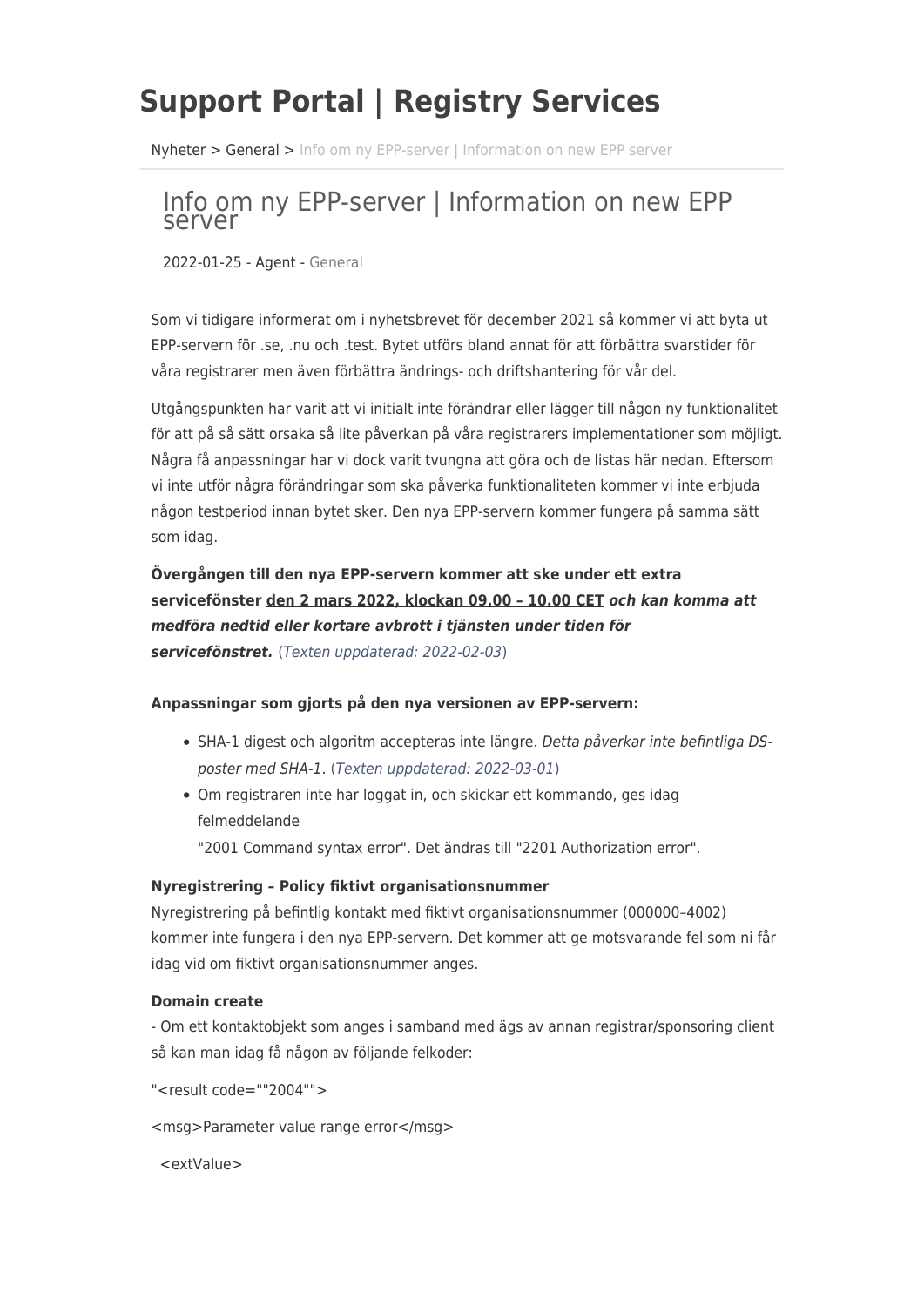# **Support Portal | Registry Services**

[Nyheter](https://support.registry.se/sv/news) > [General](https://support.registry.se/sv/news/general) > [Info om ny EPP-server | Information on new EPP server](https://support.registry.se/sv/news/posts/info-om-ny-epp-server-information-on-new-epp-server)

# Info om ny EPP-server | Information on new EPP server

2022-01-25 - Agent - [General](https://support.registry.se/sv/news/general)

Som vi tidigare informerat om i nyhetsbrevet för december 2021 så kommer vi att byta ut EPP-servern för .se, .nu och .test. Bytet utförs bland annat för att förbättra svarstider för våra registrarer men även förbättra ändrings- och driftshantering för vår del.

Utgångspunkten har varit att vi initialt inte förändrar eller lägger till någon ny funktionalitet för att på så sätt orsaka så lite påverkan på våra registrarers implementationer som möjligt. Några få anpassningar har vi dock varit tvungna att göra och de listas här nedan. Eftersom vi inte utför några förändringar som ska påverka funktionaliteten kommer vi inte erbjuda någon testperiod innan bytet sker. Den nya EPP-servern kommer fungera på samma sätt som idag.

**Övergången till den nya EPP-servern kommer att ske under ett extra servicefönster den 2 mars 2022, klockan 09.00 – 10.00 CET** *och kan komma att medföra nedtid eller kortare avbrott i tjänsten under tiden för servicefönstret.* (Texten uppdaterad: 2022-02-03)

### **Anpassningar som gjorts på den nya versionen av EPP-servern:**

- SHA-1 digest och algoritm accepteras inte längre. Detta påverkar inte befintliga DSposter med SHA-1. (Texten uppdaterad: 2022-03-01)
- Om registraren inte har loggat in, och skickar ett kommando, ges idag felmeddelande

"2001 Command syntax error". Det ändras till "2201 Authorization error".

### **Nyregistrering – Policy fiktivt organisationsnummer**

Nyregistrering på befintlig kontakt med fiktivt organisationsnummer (000000–4002) kommer inte fungera i den nya EPP-servern. Det kommer att ge motsvarande fel som ni får idag vid om fiktivt organisationsnummer anges.

### **Domain create**

- Om ett kontaktobjekt som anges i samband med ägs av annan registrar/sponsoring client så kan man idag få någon av följande felkoder:

"<result code=""2004"">

<msg>Parameter value range error</msg>

<extValue>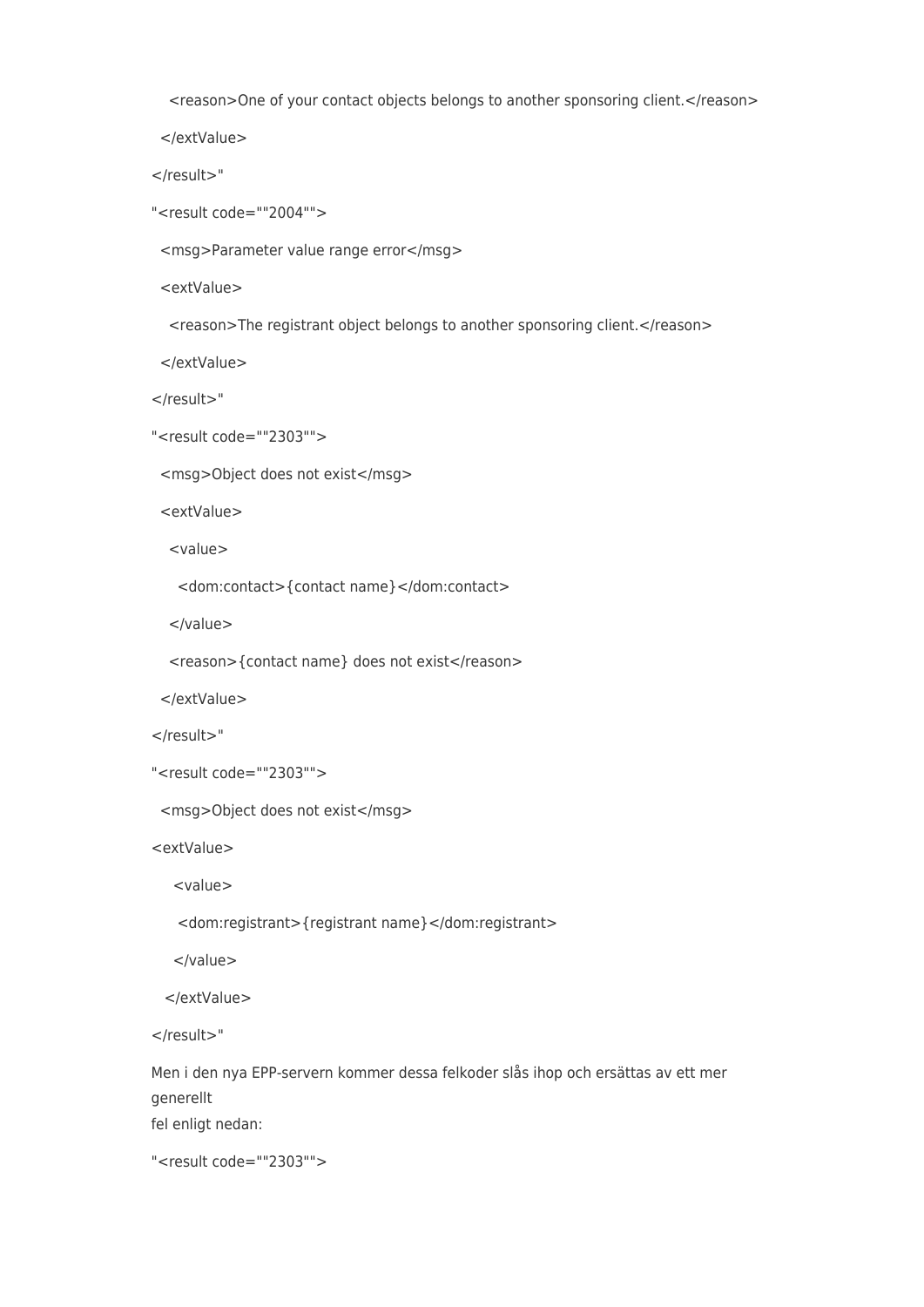<reason>One of your contact objects belongs to another sponsoring client.</reason>

</extValue>

</result>"

"<result code=""2004"">

<msg>Parameter value range error</msg>

<extValue>

<reason>The registrant object belongs to another sponsoring client.</reason>

</extValue>

</result>"

"<result code=""2303"">

<msg>Object does not exist</msg>

<extValue>

<value>

<dom:contact>{contact name}</dom:contact>

</value>

<reason>{contact name} does not exist</reason>

</extValue>

</result>"

```
"<result code=""2303"">
```
<msg>Object does not exist</msg>

<extValue>

<value>

<dom:registrant>{registrant name}</dom:registrant>

</value>

</extValue>

</result>"

Men i den nya EPP-servern kommer dessa felkoder slås ihop och ersättas av ett mer generellt fel enligt nedan:

"<result code=""2303"">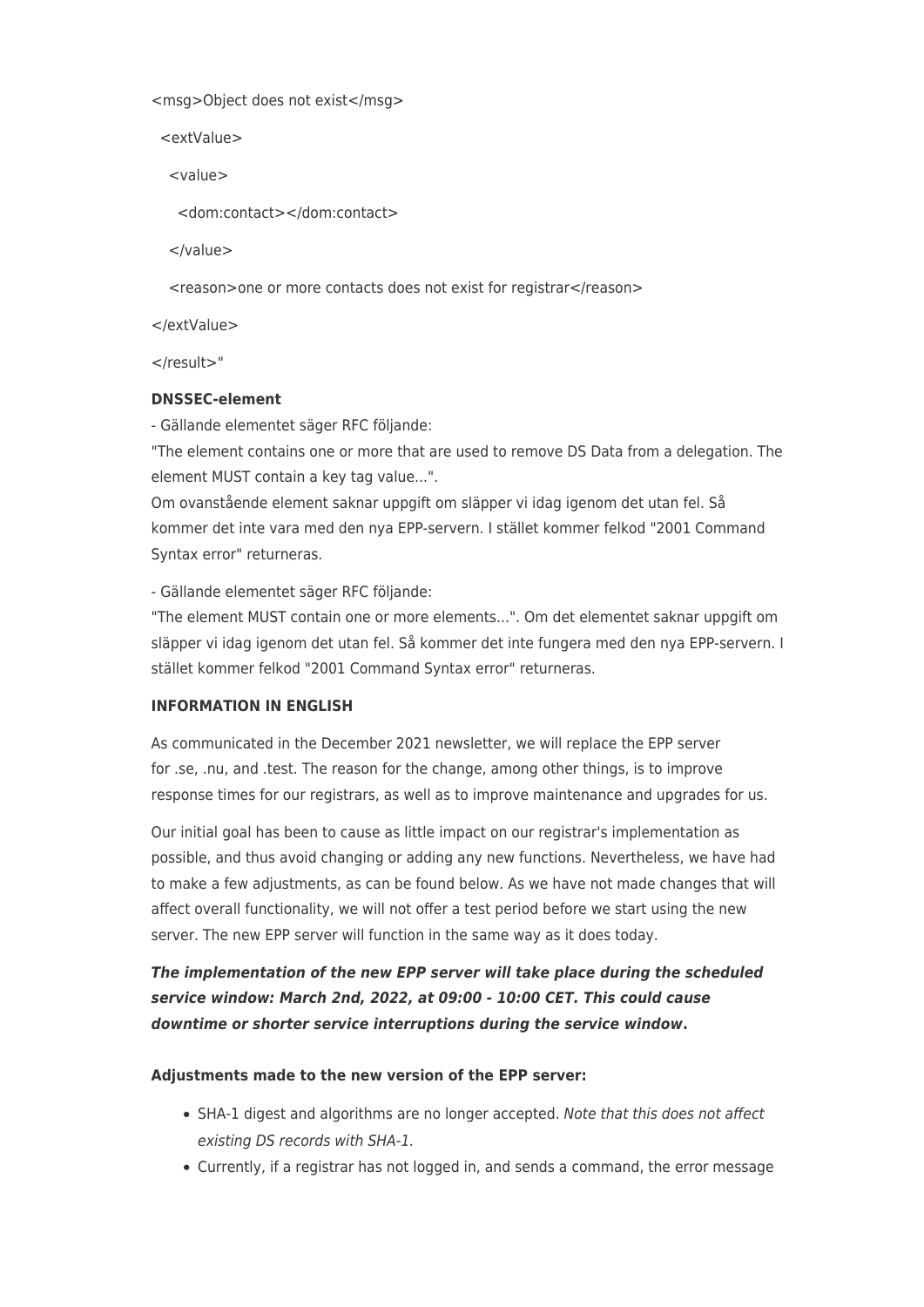<msg>Object does not exist</msg>

<extValue>

<value>

<dom:contact></dom:contact>

</value>

<reason>one or more contacts does not exist for registrar</reason>

</extValue>

</result>"

## **DNSSEC-element**

- Gällande elementet säger RFC följande:

"The element contains one or more that are used to remove DS Data from a delegation. The element MUST contain a key tag value...".

Om ovanstående element saknar uppgift om släpper vi idag igenom det utan fel. Så kommer det inte vara med den nya EPP-servern. I stället kommer felkod "2001 Command Syntax error" returneras.

- Gällande elementet säger RFC följande:

"The element MUST contain one or more elements...". Om det elementet saknar uppgift om släpper vi idag igenom det utan fel. Så kommer det inte fungera med den nya EPP-servern. I stället kommer felkod "2001 Command Syntax error" returneras.

### **INFORMATION IN ENGLISH**

As communicated in the December 2021 newsletter, we will replace the EPP server for .se, .nu, and .test. The reason for the change, among other things, is to improve response times for our registrars, as well as to improve maintenance and upgrades for us.

Our initial goal has been to cause as little impact on our registrar's implementation as possible, and thus avoid changing or adding any new functions. Nevertheless, we have had to make a few adjustments, as can be found below. As we have not made changes that will affect overall functionality, we will not offer a test period before we start using the new server. The new EPP server will function in the same way as it does today.

*The implementation of the new EPP server will take place during the scheduled service window: March 2nd, 2022, at 09:00 - 10:00 CET. This could cause downtime or shorter service interruptions during the service window***.**

### **Adjustments made to the new version of the EPP server:**

- SHA-1 digest and algorithms are no longer accepted. Note that this does not affect existing DS records with SHA-1.
- Currently, if a registrar has not logged in, and sends a command, the error message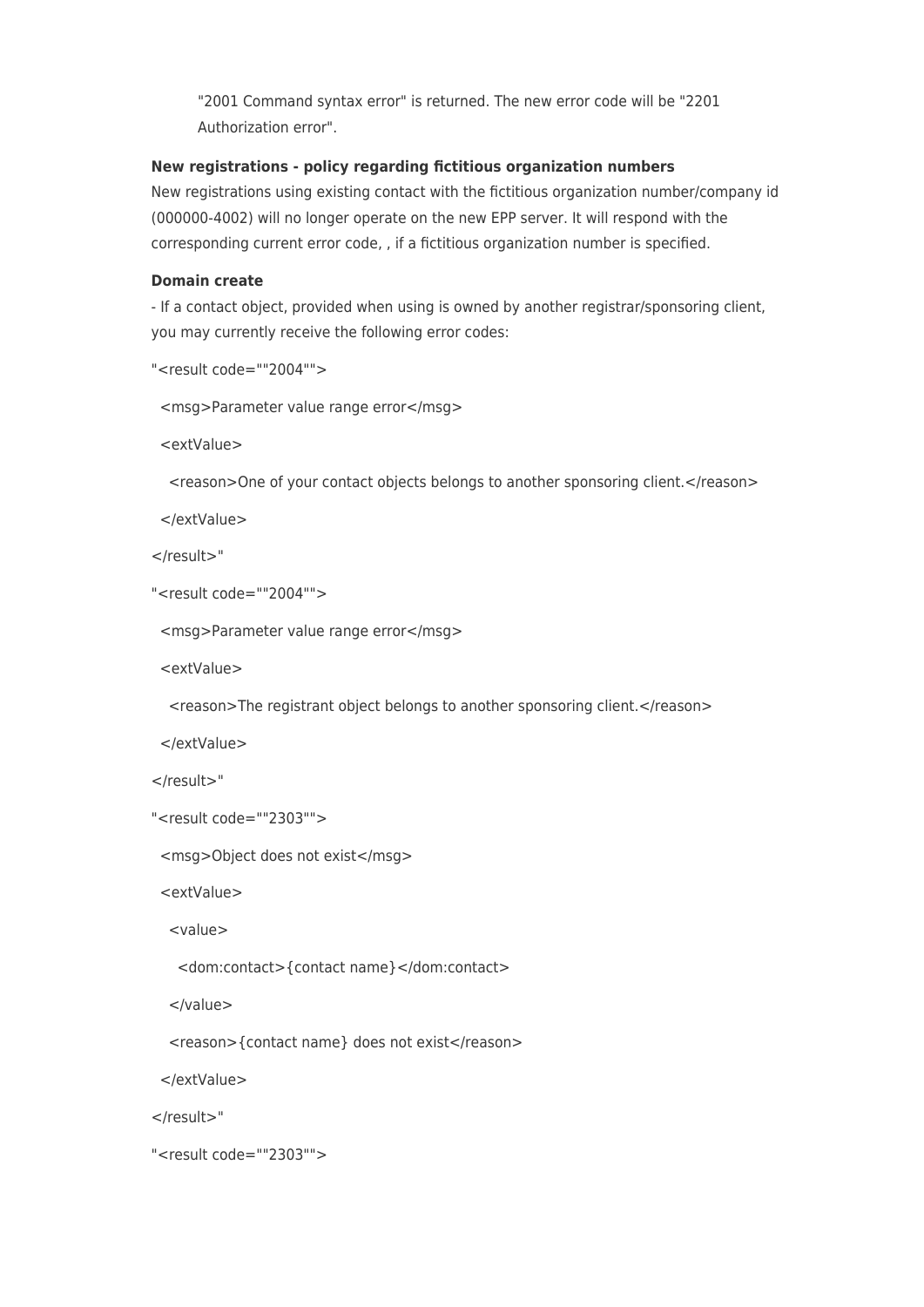"2001 Command syntax error" is returned. The new error code will be "2201 Authorization error".

#### **New registrations - policy regarding fictitious organization numbers**

New registrations using existing contact with the fictitious organization number/company id (000000-4002) will no longer operate on the new EPP server. It will respond with the corresponding current error code, , if a fictitious organization number is specified.

#### **Domain create**

- If a contact object, provided when using is owned by another registrar/sponsoring client, you may currently receive the following error codes:

```
"<result code=""2004"">
```
<msg>Parameter value range error</msg>

<extValue>

<reason>One of your contact objects belongs to another sponsoring client.</reason>

</extValue>

</result>"

```
"<result code=""2004"">
```

```
 <msg>Parameter value range error</msg>
```
<extValue>

<reason>The registrant object belongs to another sponsoring client.</reason>

</extValue>

</result>"

```
"<result code=""2303"">
```
<msg>Object does not exist</msg>

<extValue>

<value>

<dom:contact>{contact name}</dom:contact>

</value>

<reason>{contact name} does not exist</reason>

</extValue>

</result>"

```
"<result code=""2303"">
```